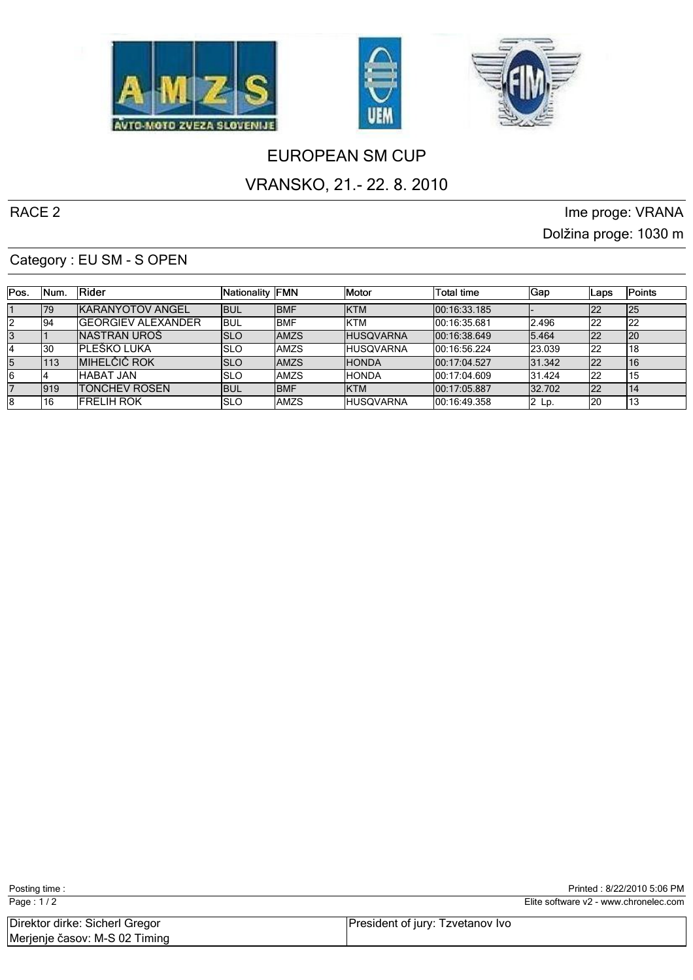





# EUROPEAN SM CUP

### VRANSKO, 21.- 22. 8. 2010

RACE 2 Ime proge: VRANA Dolžina proge: 1030 m

#### Category : EU SM - S OPEN

| IPos. | INum. | <b>IRider</b>              | Nationality FMN |              | <b>IMotor</b>     | Total time    | Gap           | Laps | Points |
|-------|-------|----------------------------|-----------------|--------------|-------------------|---------------|---------------|------|--------|
|       | 79    | <b>IKARANYOTOV ANGEL</b>   | lbul            | <b>IBMF</b>  | <b>IKTM</b>       | 100:16:33.185 |               | 122  | l25    |
|       | 194   | <b>IGEORGIEV ALEXANDER</b> | IBUL            | <b>IBMF</b>  | <b>IKTM</b>       | 00:16:35.681  | 12.496        | 122  | 22     |
|       |       | INASTRAN UROŠ              | ISLO            | <b>JAMZS</b> | <b>IHUSQVARNA</b> | 100:16:38.649 | 5.464         | 122  | l20    |
|       | 130   | IPLEŠKO LUKA               | ISLO            | <b>JAMZS</b> | <b>IHUSQVARNA</b> | 100:16:56.224 | <b>23.039</b> | 122  | 18     |
| 15    | 113   | <b>MIHELČIČ ROK</b>        | ISLO            | <b>IAMZS</b> | <b>HONDA</b>      | 100:17:04.527 | 31.342        | 122  | 16     |
|       |       | <b>IHABAT JAN</b>          | ISLO            | <b>JAMZS</b> | <b>IHONDA</b>     | 100:17:04.609 | 31.424        | 122  | 15     |
|       | 1919  | <b>ITONCHEV ROSEN</b>      | ibul            | <b>IBMF</b>  | <b>IKTM</b>       | 100:17:05.887 | 32.702        | 122  | 14     |
| 18    | 16    | <b>IFRELIH ROK</b>         | ISLO            | IAMZS        | <b>IHUSQVARNA</b> | 00:16:49.358  | $ 2 \;$ Lp.   | l20  | 13     |

| Page: $1/2$                                                     |                                  | Elite software v2 - www.chronelec.com |
|-----------------------------------------------------------------|----------------------------------|---------------------------------------|
| Direktor dirke: Sicherl Gregor<br>Merjenje časov: M-S 02 Timing | President of jury: Tzvetanov Ivo |                                       |

Posting time : Posting time : Printed : 8/22/2010 5:06 PM